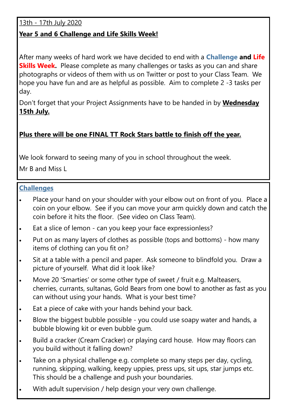13th - 17th July 2020

## **Year 5 and 6 Challenge and Life Skills Week!**

After many weeks of hard work we have decided to end with a **Challenge and Life Skills Week.** Please complete as many challenges or tasks as you can and share photographs or videos of them with us on Twitter or post to your Class Team. We hope you have fun and are as helpful as possible. Aim to complete 2 -3 tasks per day.

Don't forget that your Project Assignments have to be handed in by **Wednesday 15th July.**

## **Plus there will be one FINAL TT Rock Stars battle to finish off the year.**

We look forward to seeing many of you in school throughout the week.

Mr B and Miss L

## **Challenges**

- Place your hand on your shoulder with your elbow out on front of you. Place a coin on your elbow. See if you can move your arm quickly down and catch the coin before it hits the floor. (See video on Class Team).
- Eat a slice of lemon can you keep your face expressionless?
- Put on as many layers of clothes as possible (tops and bottoms) how many items of clothing can you fit on?
- Sit at a table with a pencil and paper. Ask someone to blindfold you. Draw a picture of yourself. What did it look like?
- Move 20 'Smarties' or some other type of sweet / fruit e.g. Malteasers, cherries, currants, sultanas, Gold Bears from one bowl to another as fast as you can without using your hands. What is your best time?
- Eat a piece of cake with your hands behind your back.
- Blow the biggest bubble possible you could use soapy water and hands, a bubble blowing kit or even bubble gum.
- Build a cracker (Cream Cracker) or playing card house. How may floors can you build without it falling down?
- Take on a physical challenge e.g. complete so many steps per day, cycling, running, skipping, walking, keepy uppies, press ups, sit ups, star jumps etc. This should be a challenge and push your boundaries.
- With adult supervision / help design your very own challenge.